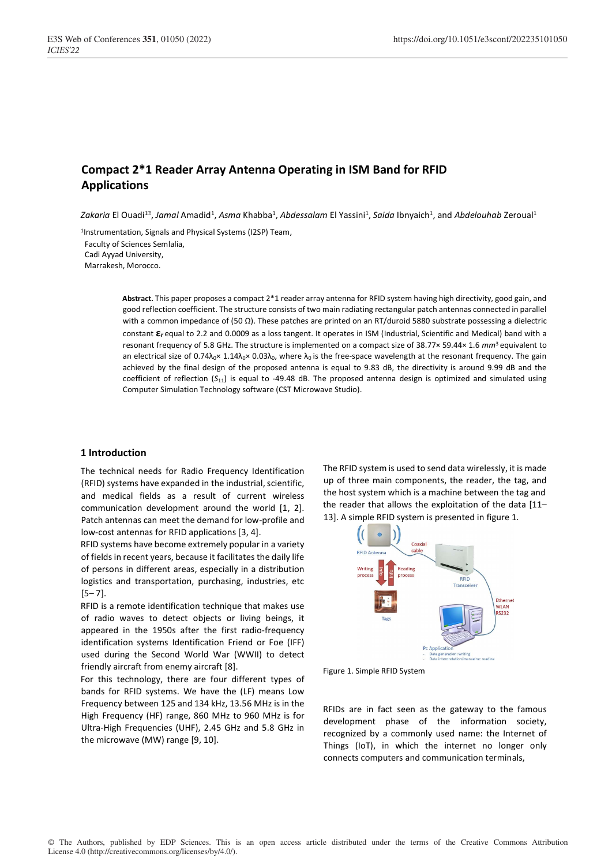# **Compact 2\*1 Reader Array Antenna Operating in ISM Band for RFID Applications**

*Zakaria* El Ouadi $^{1\!\pi\!}$  *Jamal* Amadid<sup>1</sup>, *Asma* Khabba<sup>1</sup>, *Abdessalam* El Yassini<sup>1</sup>, *Saida* Ibnyaich<sup>1</sup>, and *Abdelouhab* Zeroual<sup>1</sup>

1Instrumentation, Signals and Physical Systems (I2SP) Team,

Faculty of Sciences Semlalia,

Cadi Ayyad University,

Marrakesh, Morocco.

**Abstract.** This paper proposes a compact 2\*1 reader array antenna for RFID system having high directivity, good gain, and good reflection coefficient. The structure consists of two main radiating rectangular patch antennas connected in parallel with a common impedance of (50 Ω). These patches are printed on an RT/duroid 5880 substrate possessing a dielectric constant **ε***<sup>r</sup>* equal to 2.2 and 0.0009 as a loss tangent. It operates in ISM (Industrial, Scientific and Medical) band with a resonant frequency of 5.8 GHz. The structure is implemented on a compact size of 38.77× 59.44× 1.6 *mm*3 equivalent to an electrical size of 0.74 $\lambda_0 \times 1.14\lambda_0 \times 0.03\lambda_0$ , where  $\lambda_0$  is the free-space wavelength at the resonant frequency. The gain achieved by the final design of the proposed antenna is equal to 9.83 dB, the directivity is around 9.99 dB and the coefficient of reflection (*S*11) is equal to -49.48 dB. The proposed antenna design is optimized and simulated using Computer Simulation Technology software (CST Microwave Studio).

# **1 Introduction**

The technical needs for Radio Frequency Identification (RFID) systems have expanded in the industrial, scientific, and medical fields as a result of current wireless communication development around the world [1, 2]. Patch antennas can meet the demand for low-profile and low-cost antennas for RFID applications [3, 4].

RFID systems have become extremely popular in a variety of fields in recent years, because it facilitates the daily life of persons in different areas, especially in a distribution logistics and transportation, purchasing, industries, etc  $[5 - 7]$ .

RFID is a remote identification technique that makes use of radio waves to detect objects or living beings, it appeared in the 1950s after the first radio-frequency identification systems Identification Friend or Foe (IFF) used during the Second World War (WWII) to detect friendly aircraft from enemy aircraft [8].

For this technology, there are four different types of bands for RFID systems. We have the (LF) means Low Frequency between 125 and 134 kHz, 13.56 MHz is in the High Frequency (HF) range, 860 MHz to 960 MHz is for Ultra-High Frequencies (UHF), 2.45 GHz and 5.8 GHz in the microwave (MW) range [9, 10].

The RFID system is used to send data wirelessly, it is made up of three main components, the reader, the tag, and the host system which is a machine between the tag and the reader that allows the exploitation of the data [11– 13]. A simple RFID system is presented in figure 1.





RFIDs are in fact seen as the gateway to the famous development phase of the information society, recognized by a commonly used name: the Internet of Things (IoT), in which the internet no longer only connects computers and communication terminals,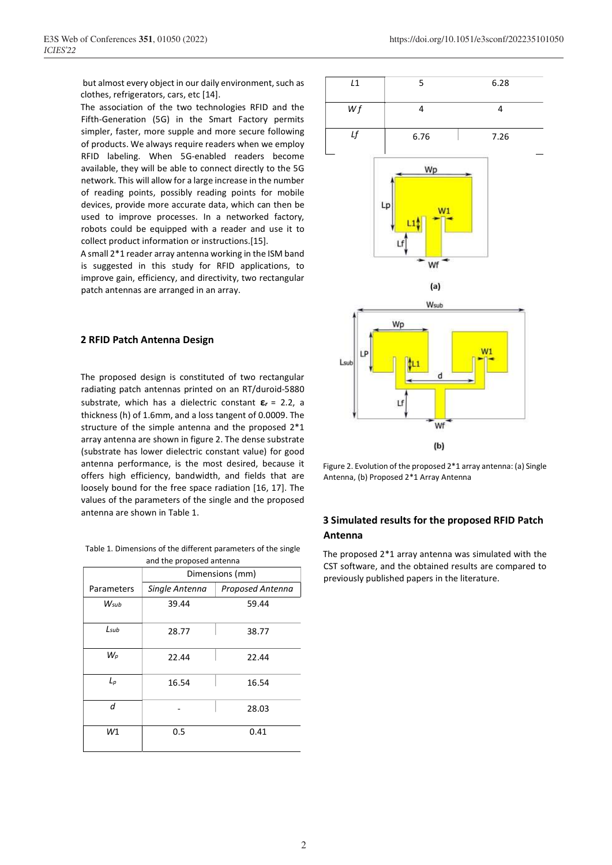but almost every object in our daily environment, such as clothes, refrigerators, cars, etc [14].

The association of the two technologies RFID and the Fifth-Generation (5G) in the Smart Factory permits simpler, faster, more supple and more secure following of products. We always require readers when we employ RFID labeling. When 5G-enabled readers become available, they will be able to connect directly to the 5G network. This will allow for a large increase in the number of reading points, possibly reading points for mobile devices, provide more accurate data, which can then be used to improve processes. In a networked factory, robots could be equipped with a reader and use it to collect product information or instructions.[15].

A small 2\*1 reader array antenna working in the ISM band is suggested in this study for RFID applications, to improve gain, efficiency, and directivity, two rectangular patch antennas are arranged in an array.

# **2 RFID Patch Antenna Design**

The proposed design is constituted of two rectangular radiating patch antennas printed on an RT/duroid-5880 substrate, which has a dielectric constant **ε***<sup>r</sup>* = 2.2, a thickness (h) of 1.6mm, and a loss tangent of 0.0009. The structure of the simple antenna and the proposed 2\*1 array antenna are shown in figure 2. The dense substrate (substrate has lower dielectric constant value) for good antenna performance, is the most desired, because it offers high efficiency, bandwidth, and fields that are loosely bound for the free space radiation [16, 17]. The values of the parameters of the single and the proposed antenna are shown in Table 1.

| Table 1. Dimensions of the different parameters of the single |
|---------------------------------------------------------------|
| and the proposed antenna                                      |

|            | Dimensions (mm) |                  |  |  |  |  |
|------------|-----------------|------------------|--|--|--|--|
| Parameters | Single Antenna  | Proposed Antenna |  |  |  |  |
| Wsub       | 39.44           | 59.44            |  |  |  |  |
| Lsub       | 28.77           | 38.77            |  |  |  |  |
| $W_p$      | 22.44           | 22.44            |  |  |  |  |
| $L_p$      | 16.54           | 16.54            |  |  |  |  |
| d          |                 | 28.03            |  |  |  |  |
| W1         | 0.5             | 0.41             |  |  |  |  |



Figure 2. Evolution of the proposed 2\*1 array antenna: (a) Single Antenna, (b) Proposed 2\*1 Array Antenna

# **3 Simulated results for the proposed RFID Patch Antenna**

The proposed 2\*1 array antenna was simulated with the CST software, and the obtained results are compared to previously published papers in the literature.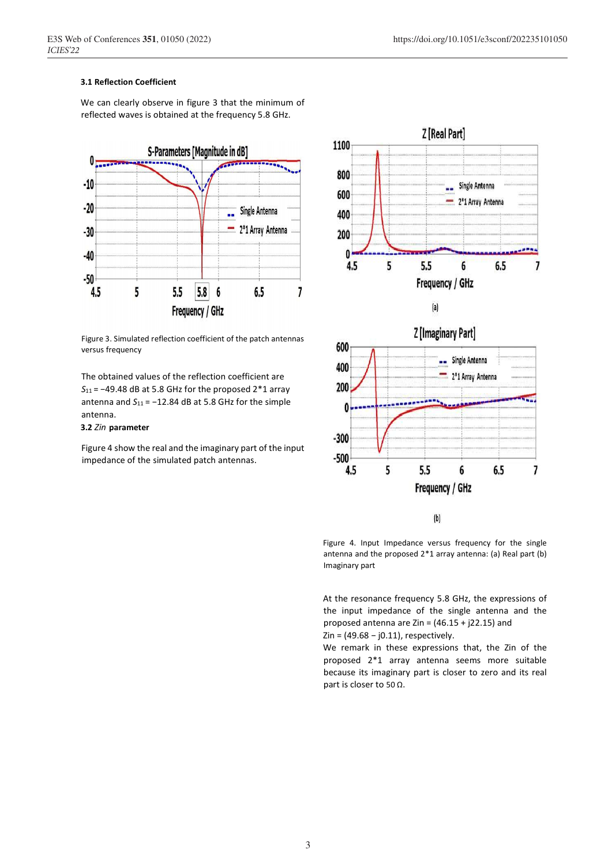# **3.1 Reflection Coefficient**

We can clearly observe in figure 3 that the minimum of reflected waves is obtained at the frequency 5.8 GHz.



Figure 3. Simulated reflection coefficient of the patch antennas versus frequency

The obtained values of the reflection coefficient are *S*11 = −49.48 dB at 5.8 GHz for the proposed 2\*1 array antenna and *S*11 = −12.84 dB at 5.8 GHz for the simple antenna.

# **3.2** *Zin* **parameter**

Figure 4 show the real and the imaginary part of the input impedance of the simulated patch antennas.



Figure 4. Input Impedance versus frequency for the single antenna and the proposed 2\*1 array antenna: (a) Real part (b) Imaginary part

At the resonance frequency 5.8 GHz, the expressions of the input impedance of the single antenna and the proposed antenna are Zin =  $(46.15 + j22.15)$  and Zin = (49.68 − j0.11), respectively.

We remark in these expressions that, the Zin of the proposed 2\*1 array antenna seems more suitable because its imaginary part is closer to zero and its real part is closer to 50 Ω.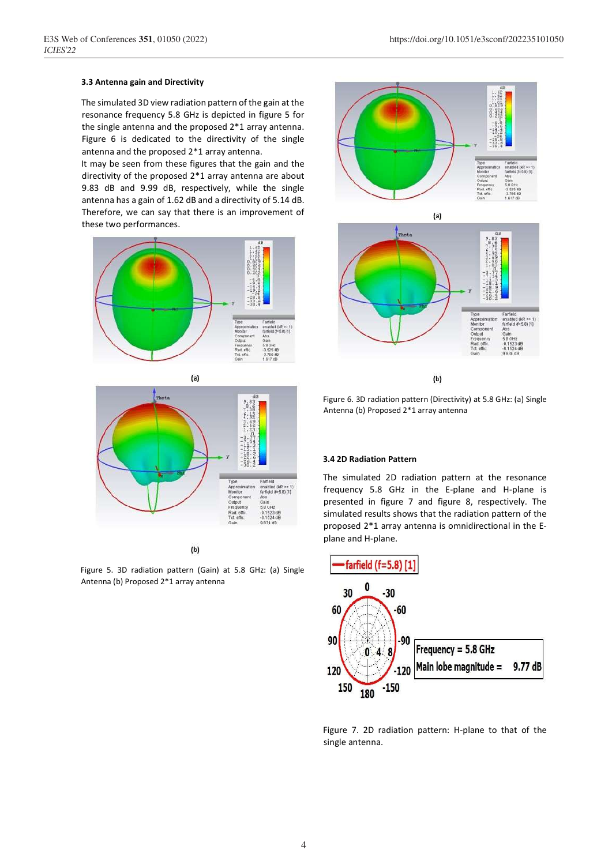#### **3.3 Antenna gain and Directivity**

The simulated 3D view radiation pattern of the gain at the resonance frequency 5.8 GHz is depicted in figure 5 for the single antenna and the proposed 2\*1 array antenna. Figure 6 is dedicated to the directivity of the single antenna and the proposed 2\*1 array antenna.

It may be seen from these figures that the gain and the directivity of the proposed 2\*1 array antenna are about 9.83 dB and 9.99 dB, respectively, while the single antenna has a gain of 1.62 dB and a directivity of 5.14 dB. Therefore, we can say that there is an improvement of these two performances.







 $(b)$ 

Figure 5. 3D radiation pattern (Gain) at 5.8 GHz: (a) Single Antenna (b) Proposed 2\*1 array antenna



Figure 6. 3D radiation pattern (Directivity) at 5.8 GHz: (a) Single Antenna (b) Proposed 2\*1 array antenna

#### **3.4 2D Radiation Pattern**

The simulated 2D radiation pattern at the resonance frequency 5.8 GHz in the E-plane and H-plane is presented in figure 7 and figure 8, respectively. The simulated results shows that the radiation pattern of the proposed 2\*1 array antenna is omnidirectional in the Eplane and H-plane.



Figure 7. 2D radiation pattern: H-plane to that of the single antenna.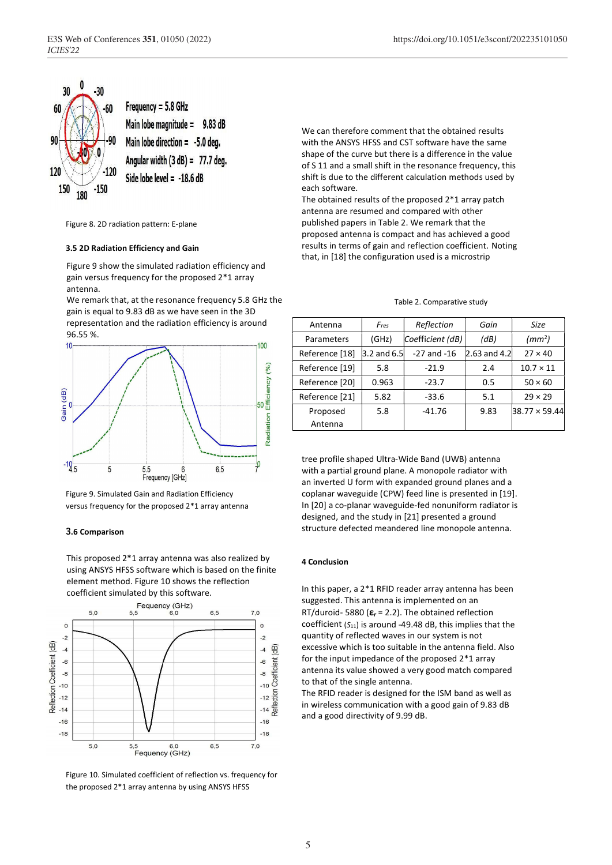

Figure 8. 2D radiation pattern: E-plane

# **3.5 2D Radiation Efficiency and Gain**

Figure 9 show the simulated radiation efficiency and gain versus frequency for the proposed 2\*1 array antenna.

We remark that, at the resonance frequency 5.8 GHz the gain is equal to 9.83 dB as we have seen in the 3D representation and the radiation efficiency is around

96.55 %.



Figure 9. Simulated Gain and Radiation Efficiency versus frequency for the proposed 2\*1 array antenna

# **3.6 Comparison**

This proposed 2\*1 array antenna was also realized by using ANSYS HFSS software which is based on the finite element method. Figure 10 shows the reflection coefficient simulated by this software.



Figure 10. Simulated coefficient of reflection vs. frequency for the proposed 2\*1 array antenna by using ANSYS HFSS

We can therefore comment that the obtained results with the ANSYS HFSS and CST software have the same shape of the curve but there is a difference in the value of S 11 and a small shift in the resonance frequency, this shift is due to the different calculation methods used by each software.

The obtained results of the proposed 2\*1 array patch antenna are resumed and compared with other published papers in Table 2. We remark that the proposed antenna is compact and has achieved a good results in terms of gain and reflection coefficient. Noting that, in [18] the configuration used is a microstrip

# Table 2. Comparative study

| Antenna        | Fres                  | Reflection       | Gain            | Size                 |
|----------------|-----------------------|------------------|-----------------|----------------------|
| Parameters     | (GHz)                 | Coefficient (dB) | (dB)            | (mm <sup>2</sup> )   |
| Reference [18] | $3.2$ and 6.5 $\vert$ | $-27$ and $-16$  | $[2.63$ and 4.2 | $27 \times 40$       |
| Reference [19] | 5.8                   | $-21.9$          | 2.4             | $10.7 \times 11$     |
| Reference [20] | 0.963                 | $-23.7$          | 0.5             | $50 \times 60$       |
| Reference [21] | 5.82                  | $-33.6$          | 5.1             | $29 \times 29$       |
| Proposed       | 5.8                   | $-41.76$         | 9.83            | $38.77 \times 59.44$ |
| Antenna        |                       |                  |                 |                      |

tree profile shaped Ultra-Wide Band (UWB) antenna with a partial ground plane. A monopole radiator with an inverted U form with expanded ground planes and a coplanar waveguide (CPW) feed line is presented in [19]. In [20] a co-planar waveguide-fed nonuniform radiator is designed, and the study in [21] presented a ground structure defected meandered line monopole antenna.

# **4 Conclusion**

In this paper, a 2\*1 RFID reader array antenna has been suggested. This antenna is implemented on an RT/duroid- 5880 (**ε***r* = 2.2). The obtained reflection coefficient (*S*11) is around -49.48 dB, this implies that the quantity of reflected waves in our system is not excessive which is too suitable in the antenna field. Also for the input impedance of the proposed 2\*1 array antenna its value showed a very good match compared to that of the single antenna.

The RFID reader is designed for the ISM band as well as in wireless communication with a good gain of 9.83 dB and a good directivity of 9.99 dB.